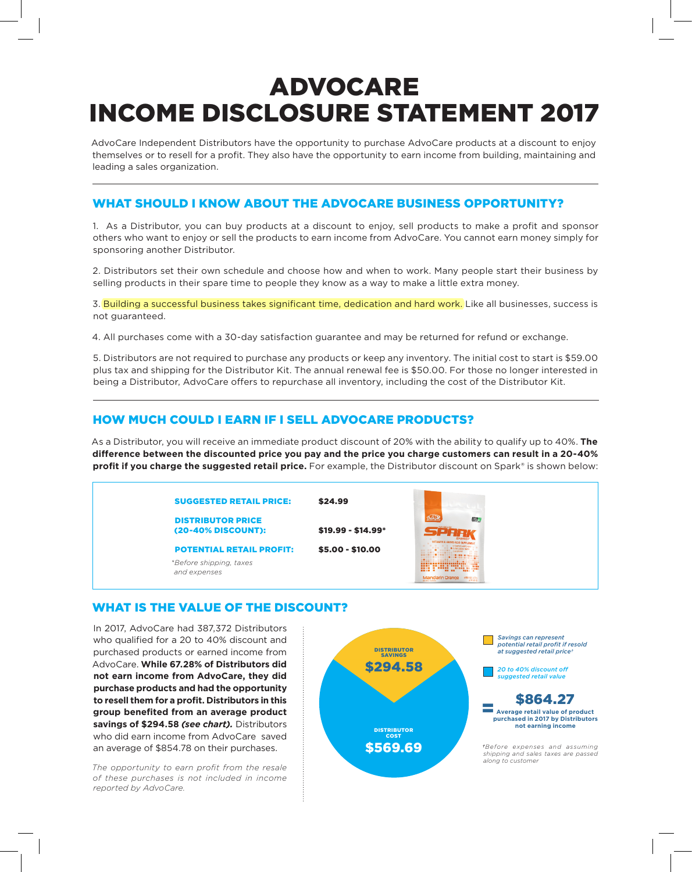# ADVOCARE INCOME DISCLOSURE STATEMENT 2017

AdvoCare Independent Distributors have the opportunity to purchase AdvoCare products at a discount to enjoy themselves or to resell for a profit. They also have the opportunity to earn income from building, maintaining and leading a sales organization.

#### WHAT SHOULD I KNOW ABOUT THE ADVOCARE BUSINESS OPPORTUNITY?

1. As a Distributor, you can buy products at a discount to enjoy, sell products to make a profit and sponsor others who want to enjoy or sell the products to earn income from AdvoCare. You cannot earn money simply for sponsoring another Distributor.

2. Distributors set their own schedule and choose how and when to work. Many people start their business by selling products in their spare time to people they know as a way to make a little extra money.

3. Building a successful business takes significant time, dedication and hard work. Like all businesses, success is not guaranteed.

4. All purchases come with a 30-day satisfaction guarantee and may be returned for refund or exchange.

5. Distributors are not required to purchase any products or keep any inventory. The initial cost to start is \$59.00 plus tax and shipping for the Distributor Kit. The annual renewal fee is \$50.00. For those no longer interested in being a Distributor, AdvoCare offers to repurchase all inventory, including the cost of the Distributor Kit.

### HOW MUCH COULD I EARN IF I SELL ADVOCARE PRODUCTS?

SUGGESTED RETAIL PRICE: \$24.99

As a Distributor, you will receive an immediate product discount of 20% with the ability to qualify up to 40%. **The difference between the discounted price you pay and the price you charge customers can result in a 20-40% profit if you charge the suggested retail price.** For example, the Distributor discount on Spark® is shown below:

> DISTRIBUTOR PRICE (20-40% DISCOUNT): \$19.99 - \$14.99\*

POTENTIAL RETAIL PROFIT: \$5.00 - \$10.00

*\*Before shipping, taxes and expenses*



### WHAT IS THE VALUE OF THE DISCOUNT?

In 2017, AdvoCare had 387,372 Distributors who qualified for a 20 to 40% discount and purchased products or earned income from AdvoCare. **While 67.28% of Distributors did not earn income from AdvoCare, they did purchase products and had the opportunity to resell them for a profit. Distributors in this group benefited from an average product savings of \$294.58** *(see chart).* Distributors who did earn income from AdvoCare saved an average of \$854.78 on their purchases.

*The opportunity to earn profit from the resale of these purchases is not included in income reported by AdvoCare.*

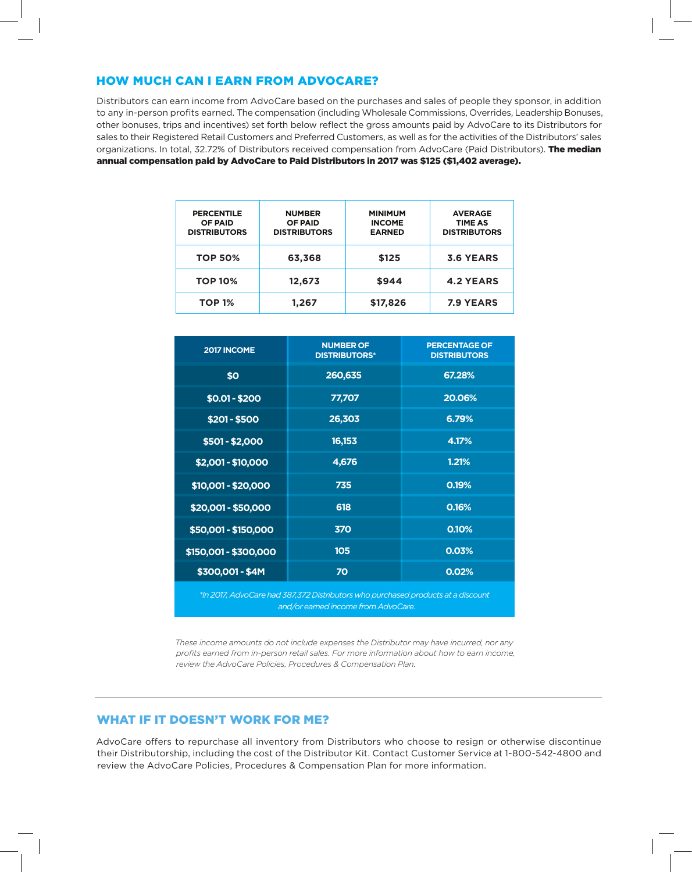### HOW MUCH CAN I EARN FROM ADVOCARE?

Distributors can earn income from AdvoCare based on the purchases and sales of people they sponsor, in addition to any in-person profits earned. The compensation (including Wholesale Commissions, Overrides, Leadership Bonuses, other bonuses, trips and incentives) set forth below reflect the gross amounts paid by AdvoCare to its Distributors for sales to their Registered Retail Customers and Preferred Customers, as well as for the activities of the Distributors' sales organizations. In total, 32.72% of Distributors received compensation from AdvoCare (Paid Distributors). The median annual compensation paid by AdvoCare to Paid Distributors in 2017 was \$125 (\$1,402 average).

| <b>PERCENTILE</b><br><b>OF PAID</b><br><b>DISTRIBUTORS</b> | <b>NUMBER</b><br><b>OF PAID</b><br><b>DISTRIBUTORS</b> | <b>MINIMUM</b><br><b>INCOME</b><br><b>EARNED</b> | <b>AVERAGE</b><br><b>TIME AS</b><br><b>DISTRIBUTORS</b> |
|------------------------------------------------------------|--------------------------------------------------------|--------------------------------------------------|---------------------------------------------------------|
| <b>TOP 50%</b>                                             | 63,368                                                 | \$125                                            | <b>3.6 YEARS</b>                                        |
| <b>TOP 10%</b>                                             | 12,673                                                 | \$944                                            | <b>4.2 YEARS</b>                                        |
| <b>TOP 1%</b>                                              | 1,267                                                  | \$17,826                                         | <b>7.9 YEARS</b>                                        |

| <b>2017 INCOME</b>                                                                                                      | <b>NUMBER OF</b><br><b>DISTRIBUTORS*</b> | <b>PERCENTAGE OF</b><br><b>DISTRIBUTORS</b> |  |  |
|-------------------------------------------------------------------------------------------------------------------------|------------------------------------------|---------------------------------------------|--|--|
| \$0                                                                                                                     | 260,635                                  | 67.28%                                      |  |  |
| $$0.01 - $200$                                                                                                          | 77,707                                   | 20.06%                                      |  |  |
| \$201-\$500                                                                                                             | 26,303                                   | 6.79%                                       |  |  |
| \$501-\$2,000                                                                                                           | 16,153                                   | 4.17%                                       |  |  |
| \$2,001 - \$10,000                                                                                                      | 4,676                                    | 1.21%                                       |  |  |
| \$10,001 - \$20,000                                                                                                     | 735                                      | 0.19%                                       |  |  |
| \$20,001 - \$50,000                                                                                                     | 618                                      | 0.16%                                       |  |  |
| \$50,001 - \$150,000                                                                                                    | 370                                      | 0.10%                                       |  |  |
| \$150,001 - \$300,000                                                                                                   | 105                                      | 0.03%                                       |  |  |
| \$300,001 - \$4M                                                                                                        | 70                                       | 0.02%                                       |  |  |
| *In 2017, AdvoCare had 387,372 Distributors who purchased products at a discount<br>and/or earned income from AdvoCare. |                                          |                                             |  |  |

*These income amounts do not include expenses the Distributor may have incurred, nor any profits earned from in-person retail sales. For more information about how to earn income, review the AdvoCare Policies, Procedures & Compensation Plan.*

### WHAT IF IT DOESN'T WORK FOR ME?

AdvoCare offers to repurchase all inventory from Distributors who choose to resign or otherwise discontinue their Distributorship, including the cost of the Distributor Kit. Contact Customer Service at 1-800-542-4800 and review the AdvoCare Policies, Procedures & Compensation Plan for more information.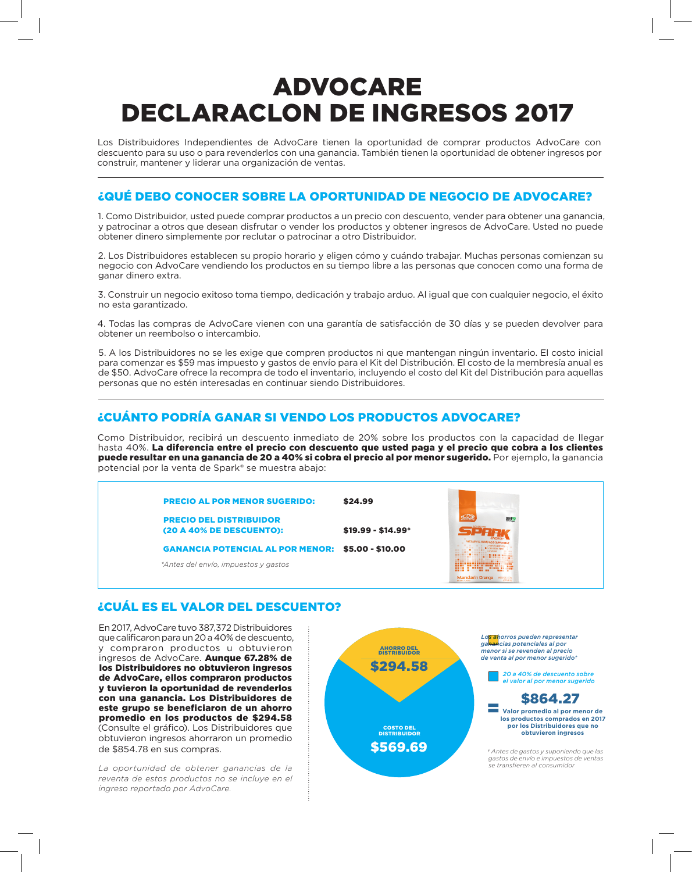# ADVOCARE DECLARACLON DE INGRESOS 2017

Los Distribuidores Independientes de AdvoCare tienen la oportunidad de comprar productos AdvoCare con descuento para su uso o para revenderlos con una ganancia. También tienen la oportunidad de obtener ingresos por construir, mantener y liderar una organización de ventas.

### ¿QUÉ DEBO CONOCER SOBRE LA OPORTUNIDAD DE NEGOCIO DE ADVOCARE?

1. Como Distribuidor, usted puede comprar productos a un precio con descuento, vender para obtener una ganancia, y patrocinar a otros que desean disfrutar o vender los productos y obtener ingresos de AdvoCare. Usted no puede obtener dinero simplemente por reclutar o patrocinar a otro Distribuidor.

2. Los Distribuidores establecen su propio horario y eligen cómo y cuándo trabajar. Muchas personas comienzan su negocio con AdvoCare vendiendo los productos en su tiempo libre a las personas que conocen como una forma de ganar dinero extra.

3. Construir un negocio exitoso toma tiempo, dedicación y trabajo arduo. Al igual que con cualquier negocio, el éxito no esta garantizado.

4. Todas las compras de AdvoCare vienen con una garantía de satisfacción de 30 días y se pueden devolver para obtener un reembolso o intercambio.

5. A los Distribuidores no se les exige que compren productos ni que mantengan ningún inventario. El costo inicial para comenzar es \$59 mas impuesto y gastos de envío para el Kit del Distribución. El costo de la membresía anual es de \$50. AdvoCare ofrece la recompra de todo el inventario, incluyendo el costo del Kit del Distribución para aquellas personas que no estén interesadas en continuar siendo Distribuidores.

## ¿CUÁNTO PODRÍA GANAR SI VENDO LOS PRODUCTOS ADVOCARE?

Como Distribuidor, recibirá un descuento inmediato de 20% sobre los productos con la capacidad de llegar hasta 40%. La diferencia entre el precio con descuento que usted paga y el precio que cobra a los clientes puede resultar en una ganancia de 20 a 40% si cobra el precio al por menor sugerido. Por ejemplo, la ganancia potencial por la venta de Spark® se muestra abajo:

PRECIO AL POR MENOR SUGERIDO: \$24.99 PRECIO DEL DISTRIBUIDOR (20 A 40% DE DESCUENTO): \$19.99 - \$14.99\* GANANCIA POTENCIAL AL POR MENOR: \$5.00 - \$10.00



*\*Antes del envío, impuestos y gastos*

## ¿CUÁL ES EL VALOR DEL DESCUENTO?

En 2017, AdvoCare tuvo 387,372 Distribuidores que calificaron para un 20 a 40% de descuento, y compraron productos u obtuvieron ingresos de AdvoCare. Aunque 67.28% de los Distribuidores no obtuvieron ingresos de AdvoCare, ellos compraron productos y tuvieron la oportunidad de revenderlos con una ganancia. Los Distribuidores de este grupo se beneficiaron de un ahorro promedio en los productos de \$294.58 (Consulte el gráfico). Los Distribuidores que obtuvieron ingresos ahorraron un promedio de \$854.78 en sus compras.

*La oportunidad de obtener ganancias de la reventa de estos productos no se incluye en el ingreso reportado por AdvoCare.*



*Los ahorros pueden representar ganancias potenciales al por menor si se revenden al precio de venta al por menor sugerido†*

> *20 a 40% de descuento sobre el valor al por menor sugerido*



= \$864.27 **Valor promedio al por menor de los productos comprados en 2017 por los Distribuidores que no obtuvieron ingresos** 

*† Antes de gastos y suponiendo que las gastos de envío e impuestos de ventas se transfieren al consumidor*